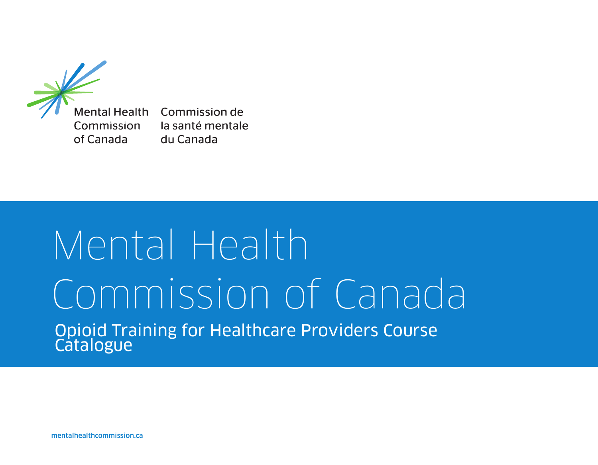

Mental Health Commission de Commission of Canada

la santé mentale du Canada

## Mental Health Commission of Canada Opioid Training for Healthcare Providers Course **Catalogue**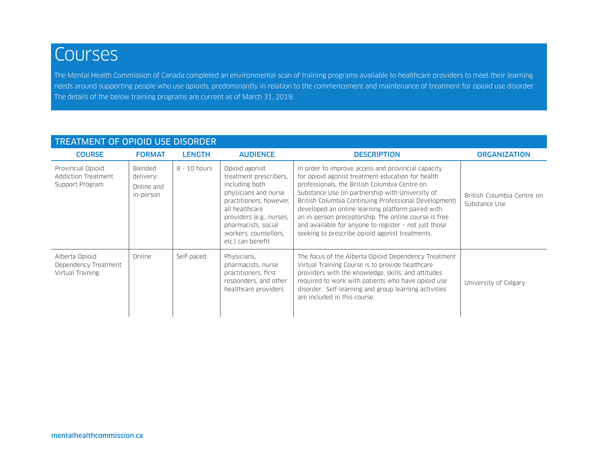## **Courses**

The Mental Health Commission of Canada completed an environmental scan of training programs available to healthcare providers to meet their learning needs around supporting people who use opioids, predominantly in relation to the commencement and maintenance of treatment for opioid use disorder. The details of the below training programs are current as of March 31, 2019.

| <b>TREATMENT OF OPIOID USE DISORDER</b>                     |                                                 |               |                                                                                                                                                                                                                                  |                                                                                                                                                                                                                                                                                                                                                                                                                                                                                                 |                                             |  |  |
|-------------------------------------------------------------|-------------------------------------------------|---------------|----------------------------------------------------------------------------------------------------------------------------------------------------------------------------------------------------------------------------------|-------------------------------------------------------------------------------------------------------------------------------------------------------------------------------------------------------------------------------------------------------------------------------------------------------------------------------------------------------------------------------------------------------------------------------------------------------------------------------------------------|---------------------------------------------|--|--|
| <b>COURSE</b>                                               | <b>FORMAT</b>                                   | <b>LENGTH</b> | <b>AUDIENCE</b>                                                                                                                                                                                                                  | <b>DESCRIPTION</b>                                                                                                                                                                                                                                                                                                                                                                                                                                                                              | <b>ORGANIZATION</b>                         |  |  |
| Provincial Opioid<br>Addiction Treatment<br>Support Program | Blended<br>delivery:<br>Online and<br>in-person | 8 - 10 hours  | Opioid agonist<br>treatment prescribers.<br>including both<br>physicians and nurse<br>practitioners, however,<br>all healthcare<br>providers (e.g., nurses,<br>pharmacists, social<br>workers, counsellors,<br>etc.) can benefit | In order to improve access and provincial capacity<br>for opioid agonist treatment education for health<br>professionals, the British Columbia Centre on<br>Substance Use (in partnership with University of<br>British Columbia Continuing Professional Development)<br>developed an online learning platform paired with<br>an in-person preceptorship. The online course is free<br>and available for anyone to register - not just those<br>seeking to prescribe opioid agonist treatments. | British Columbia Centre on<br>Substance Use |  |  |
| Alberta Opioid<br>Dependency Treatment<br>Virtual Training  | Online                                          | Self-paced    | Physicians,<br>pharmacists, nurse<br>practitioners, first<br>responders, and other<br>healthcare providers                                                                                                                       | The focus of the Alberta Opioid Dependency Treatment<br>Virtual Training Course is to provide healthcare<br>providers with the knowledge, skills, and attitudes<br>required to work with patients who have opioid use<br>disorder. Self-learning and group learning activities<br>are included in this course.                                                                                                                                                                                  | University of Calgary                       |  |  |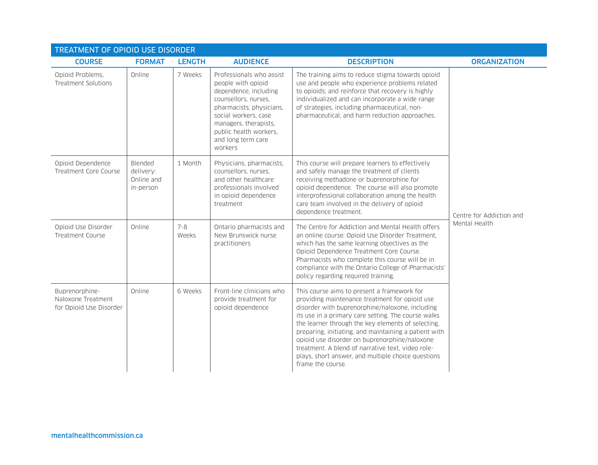| <b>TREATMENT OF OPIOID USE DISORDER</b>                         |                                                 |                  |                                                                                                                                                                                                                                         |                                                                                                                                                                                                                                                                                                                                                                                                                                                                                                         |                          |  |
|-----------------------------------------------------------------|-------------------------------------------------|------------------|-----------------------------------------------------------------------------------------------------------------------------------------------------------------------------------------------------------------------------------------|---------------------------------------------------------------------------------------------------------------------------------------------------------------------------------------------------------------------------------------------------------------------------------------------------------------------------------------------------------------------------------------------------------------------------------------------------------------------------------------------------------|--------------------------|--|
| <b>COURSE</b>                                                   | <b>FORMAT</b>                                   | <b>LENGTH</b>    | <b>AUDIENCE</b>                                                                                                                                                                                                                         | <b>DESCRIPTION</b>                                                                                                                                                                                                                                                                                                                                                                                                                                                                                      | <b>ORGANIZATION</b>      |  |
| Opioid Problems,<br>Treatment Solutions                         | Online                                          | 7 Weeks          | Professionals who assist<br>people with opioid<br>dependence, including<br>counsellors, nurses,<br>pharmacists, physicians,<br>social workers, case<br>managers, therapists,<br>public health workers,<br>and long term care<br>workers | The training aims to reduce stigma towards opioid<br>use and people who experience problems related<br>to opioids; and reinforce that recovery is highly<br>individualized and can incorporate a wide range<br>of strategies, including pharmaceutical, non-<br>pharmaceutical, and harm reduction approaches.                                                                                                                                                                                          |                          |  |
| Opioid Dependence<br>Treatment Core Course                      | Blended<br>delivery:<br>Online and<br>in-person | 1 Month          | Physicians, pharmacists,<br>counsellors, nurses,<br>and other healthcare<br>professionals involved<br>in opioid dependence<br>treatment                                                                                                 | This course will prepare learners to effectively<br>and safely manage the treatment of clients<br>receiving methadone or buprenorphine for<br>opioid dependence. The course will also promote<br>interprofessional collaboration among the health<br>care team involved in the delivery of opioid<br>dependence treatment.                                                                                                                                                                              | Centre for Addiction and |  |
| Opioid Use Disorder<br>Treatment Course                         | Online                                          | $7 - 8$<br>Weeks | Ontario pharmacists and<br>New Brunswick nurse<br>practitioners                                                                                                                                                                         | The Centre for Addiction and Mental Health offers<br>an online course: Opioid Use Disorder Treatment,<br>which has the same learning objectives as the<br>Opioid Dependence Treatment Core Course.<br>Pharmacists who complete this course will be in<br>compliance with the Ontario College of Pharmacists'<br>policy regarding required training.                                                                                                                                                     | Mental Health            |  |
| Buprenorphine-<br>Naloxone Treatment<br>for Opioid Use Disorder | Online                                          | 6 Weeks          | Front-line clinicians who<br>provide treatment for<br>opioid dependence                                                                                                                                                                 | This course aims to present a framework for<br>providing maintenance treatment for opioid use<br>disorder with buprenorphine/naloxone, including<br>its use in a primary care setting. The course walks<br>the learner through the key elements of selecting,<br>preparing, initiating, and maintaining a patient with<br>opioid use disorder on buprenorphine/naloxone<br>treatment. A blend of narrative text, video role-<br>plays, short answer, and multiple choice questions<br>frame the course. |                          |  |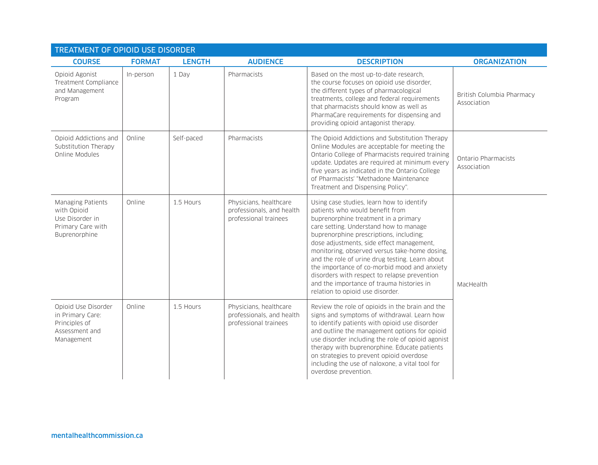| <b>TREATMENT OF OPIOID USE DISORDER</b>                                                   |               |               |                                                                              |                                                                                                                                                                                                                                                                                                                                                                                                                                                                                                                                             |                                           |  |
|-------------------------------------------------------------------------------------------|---------------|---------------|------------------------------------------------------------------------------|---------------------------------------------------------------------------------------------------------------------------------------------------------------------------------------------------------------------------------------------------------------------------------------------------------------------------------------------------------------------------------------------------------------------------------------------------------------------------------------------------------------------------------------------|-------------------------------------------|--|
| <b>COURSE</b>                                                                             | <b>FORMAT</b> | <b>LENGTH</b> | <b>AUDIENCE</b>                                                              | <b>DESCRIPTION</b>                                                                                                                                                                                                                                                                                                                                                                                                                                                                                                                          | <b>ORGANIZATION</b>                       |  |
| Opioid Agonist<br>Treatment Compliance<br>and Management<br>Program                       | In-person     | 1 Day         | Pharmacists                                                                  | Based on the most up-to-date research,<br>the course focuses on opioid use disorder,<br>the different types of pharmacological<br>treatments, college and federal requirements<br>that pharmacists should know as well as<br>PharmaCare requirements for dispensing and<br>providing opioid antagonist therapy.                                                                                                                                                                                                                             | British Columbia Pharmacy<br>Association  |  |
| Opioid Addictions and<br>Substitution Therapy<br>Online Modules                           | Online        | Self-paced    | Pharmacists                                                                  | The Opioid Addictions and Substitution Therapy<br>Online Modules are acceptable for meeting the<br>Ontario College of Pharmacists required training<br>update. Updates are required at minimum every<br>five years as indicated in the Ontario College<br>of Pharmacists' "Methadone Maintenance<br>Treatment and Dispensing Policy".                                                                                                                                                                                                       | <b>Ontario Pharmacists</b><br>Association |  |
| Managing Patients<br>with Opioid<br>Use Disorder in<br>Primary Care with<br>Buprenorphine | Online        | 1.5 Hours     | Physicians, healthcare<br>professionals, and health<br>professional trainees | Using case studies, learn how to identify<br>patients who would benefit from<br>buprenorphine treatment in a primary<br>care setting. Understand how to manage<br>buprenorphine prescriptions, including;<br>dose adjustments, side effect management,<br>monitoring, observed versus take-home dosing,<br>and the role of urine drug testing. Learn about<br>the importance of co-morbid mood and anxiety<br>disorders with respect to relapse prevention<br>and the importance of trauma histories in<br>relation to opioid use disorder. | MacHealth                                 |  |
| Opioid Use Disorder<br>in Primary Care:<br>Principles of<br>Assessment and<br>Management  | Online        | 1.5 Hours     | Physicians, healthcare<br>professionals, and health<br>professional trainees | Review the role of opioids in the brain and the<br>signs and symptoms of withdrawal. Learn how<br>to identify patients with opioid use disorder<br>and outline the management options for opioid<br>use disorder including the role of opioid agonist<br>therapy with buprenorphine. Educate patients<br>on strategies to prevent opioid overdose<br>including the use of naloxone, a vital tool for<br>overdose prevention.                                                                                                                |                                           |  |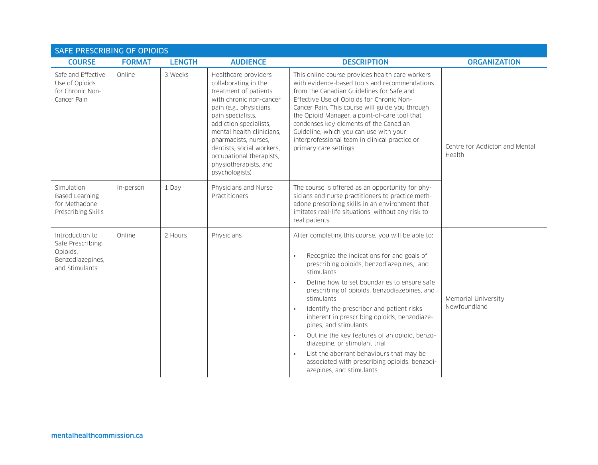| <b>SAFE PRESCRIBING OF OPIOIDS</b>                                                     |               |               |                                                                                                                                                                                                                                                                                                                                     |                                                                                                                                                                                                                                                                                                                                                                                                                                                                                                                                                                                                                                                               |                                          |
|----------------------------------------------------------------------------------------|---------------|---------------|-------------------------------------------------------------------------------------------------------------------------------------------------------------------------------------------------------------------------------------------------------------------------------------------------------------------------------------|---------------------------------------------------------------------------------------------------------------------------------------------------------------------------------------------------------------------------------------------------------------------------------------------------------------------------------------------------------------------------------------------------------------------------------------------------------------------------------------------------------------------------------------------------------------------------------------------------------------------------------------------------------------|------------------------------------------|
| <b>COURSE</b>                                                                          | <b>FORMAT</b> | <b>LENGTH</b> | <b>AUDIENCE</b>                                                                                                                                                                                                                                                                                                                     | <b>DESCRIPTION</b>                                                                                                                                                                                                                                                                                                                                                                                                                                                                                                                                                                                                                                            | <b>ORGANIZATION</b>                      |
| Safe and Effective<br>Use of Opioids<br>for Chronic Non-<br>Cancer Pain                | Online        | 3 Weeks       | Healthcare providers<br>collaborating in the<br>treatment of patients<br>with chronic non-cancer<br>pain (e.g., physicians,<br>pain specialists,<br>addiction specialists,<br>mental health clinicians.<br>pharmacists, nurses,<br>dentists, social workers,<br>occupational therapists,<br>physiotherapists, and<br>psychologists) | This online course provides health care workers<br>with evidence-based tools and recommendations<br>from the Canadian Guidelines for Safe and<br>Effective Use of Opioids for Chronic Non-<br>Cancer Pain. This course will guide you through<br>the Opioid Manager, a point-of-care tool that<br>condenses key elements of the Canadian<br>Guideline, which you can use with your<br>interprofessional team in clinical practice or<br>primary care settings.                                                                                                                                                                                                | Centre for Addicton and Mental<br>Health |
| Simulation<br><b>Based Learning</b><br>for Methadone<br>Prescribing Skills             | In-person     | 1 Day         | Physicians and Nurse<br>Practitioners                                                                                                                                                                                                                                                                                               | The course is offered as an opportunity for phy-<br>sicians and nurse practitioners to practice meth-<br>adone prescribing skills in an environment that<br>imitates real-life situations, without any risk to<br>real patients.                                                                                                                                                                                                                                                                                                                                                                                                                              |                                          |
| Introduction to<br>Safe Prescribing:<br>Opioids,<br>Benzodiazepines,<br>and Stimulants | Online        | 2 Hours       | Physicians                                                                                                                                                                                                                                                                                                                          | After completing this course, you will be able to:<br>Recognize the indications for and goals of<br>$\bullet$<br>prescribing opioids, benzodiazepines, and<br>stimulants<br>Define how to set boundaries to ensure safe<br>prescribing of opioids, benzodiazepines, and<br>stimulants<br>Identify the prescriber and patient risks<br>$\bullet$<br>inherent in prescribing opioids, benzodiaze-<br>pines, and stimulants<br>Outline the key features of an opioid, benzo-<br>$\bullet$<br>diazepine, or stimulant trial<br>List the aberrant behaviours that may be<br>$\bullet$<br>associated with prescribing opioids, benzodi-<br>azepines, and stimulants | Memorial University<br>Newfoundland      |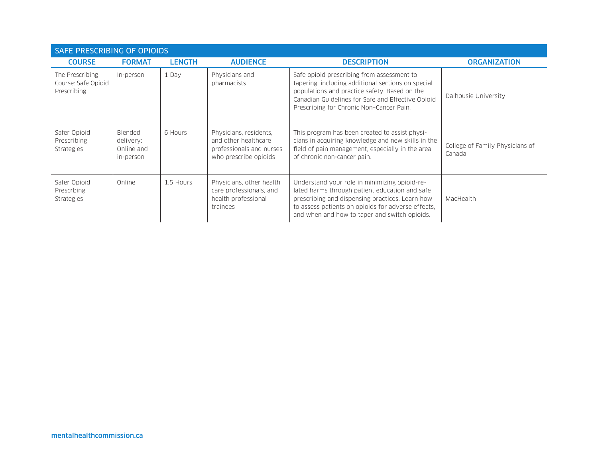| SAFE PRESCRIBING OF OPIOIDS                           |                                                        |               |                                                                                                     |                                                                                                                                                                                                                                                           |                                           |  |
|-------------------------------------------------------|--------------------------------------------------------|---------------|-----------------------------------------------------------------------------------------------------|-----------------------------------------------------------------------------------------------------------------------------------------------------------------------------------------------------------------------------------------------------------|-------------------------------------------|--|
| <b>COURSE</b>                                         | <b>FORMAT</b>                                          | <b>LENGTH</b> | <b>AUDIENCE</b>                                                                                     | <b>DESCRIPTION</b>                                                                                                                                                                                                                                        | <b>ORGANIZATION</b>                       |  |
| The Prescribing<br>Course: Safe Opioid<br>Prescribing | In-person                                              | 1 Day         | Physicians and<br>pharmacists                                                                       | Safe opioid prescribing from assessment to<br>tapering, including additional sections on special<br>populations and practice safety. Based on the<br>Canadian Guidelines for Safe and Effective Opioid<br>Prescribing for Chronic Non-Cancer Pain.        | Dalhousie University                      |  |
| Safer Opioid<br>Prescribing<br><b>Strategies</b>      | <b>Blended</b><br>delivery:<br>Online and<br>in-person | 6 Hours       | Physicians, residents,<br>and other healthcare<br>professionals and nurses<br>who prescribe opioids | This program has been created to assist physi-<br>cians in acquiring knowledge and new skills in the<br>field of pain management, especially in the area<br>of chronic non-cancer pain.                                                                   | College of Family Physicians of<br>Canada |  |
| Safer Opioid<br>Prescrbing<br><b>Strategies</b>       | Online                                                 | 1.5 Hours     | Physicians, other health<br>care professionals, and<br>health professional<br>trainees              | Understand your role in minimizing opioid-re-<br>lated harms through patient education and safe<br>prescribing and dispensing practices. Learn how<br>to assess patients on opioids for adverse effects,<br>and when and how to taper and switch opioids. | MacHealth                                 |  |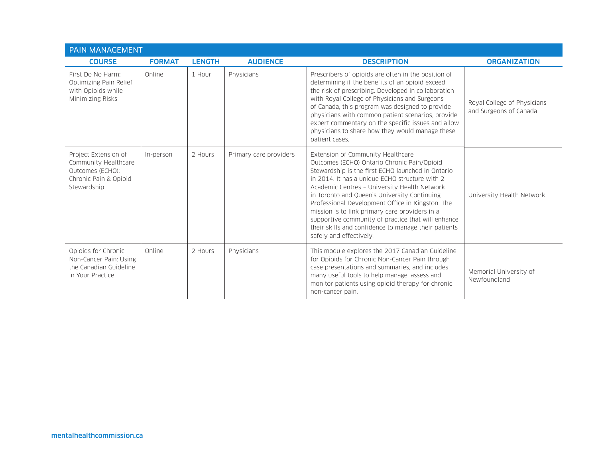| PAIN MANAGEMENT                                                                                          |               |               |                        |                                                                                                                                                                                                                                                                                                                                                                                                                                                                                                                                        |                                                       |  |
|----------------------------------------------------------------------------------------------------------|---------------|---------------|------------------------|----------------------------------------------------------------------------------------------------------------------------------------------------------------------------------------------------------------------------------------------------------------------------------------------------------------------------------------------------------------------------------------------------------------------------------------------------------------------------------------------------------------------------------------|-------------------------------------------------------|--|
| <b>COURSE</b>                                                                                            | <b>FORMAT</b> | <b>LENGTH</b> | <b>AUDIENCE</b>        | <b>DESCRIPTION</b>                                                                                                                                                                                                                                                                                                                                                                                                                                                                                                                     | <b>ORGANIZATION</b>                                   |  |
| First Do No Harm:<br>Optimizing Pain Relief<br>with Opioids while<br>Minimizing Risks                    | Online        | 1 Hour        | Physicians             | Prescribers of opioids are often in the position of<br>determining if the benefits of an opioid exceed<br>the risk of prescribing. Developed in collaboration<br>with Royal College of Physicians and Surgeons<br>of Canada, this program was designed to provide<br>physicians with common patient scenarios, provide<br>expert commentary on the specific issues and allow<br>physicians to share how they would manage these<br>patient cases.                                                                                      | Royal College of Physicians<br>and Surgeons of Canada |  |
| Project Extension of<br>Community Healthcare<br>Outcomes (ECHO):<br>Chronic Pain & Opioid<br>Stewardship | In-person     | 2 Hours       | Primary care providers | Extension of Community Healthcare<br>Outcomes (ECHO) Ontario Chronic Pain/Opioid<br>Stewardship is the first ECHO launched in Ontario<br>in 2014. It has a unique ECHO structure with 2<br>Academic Centres - University Health Network<br>in Toronto and Queen's University Continuing<br>Professional Development Office in Kingston. The<br>mission is to link primary care providers in a<br>supportive community of practice that will enhance<br>their skills and confidence to manage their patients<br>safely and effectively. | University Health Network                             |  |
| Opioids for Chronic<br>Non-Cancer Pain: Using<br>the Canadian Guideline<br>in Your Practice              | Online        | 2 Hours       | Physicians             | This module explores the 2017 Canadian Guideline<br>for Opioids for Chronic Non-Cancer Pain through<br>case presentations and summaries, and includes<br>many useful tools to help manage, assess and<br>monitor patients using opioid therapy for chronic<br>non-cancer pain.                                                                                                                                                                                                                                                         | Memorial University of<br>Newfoundland                |  |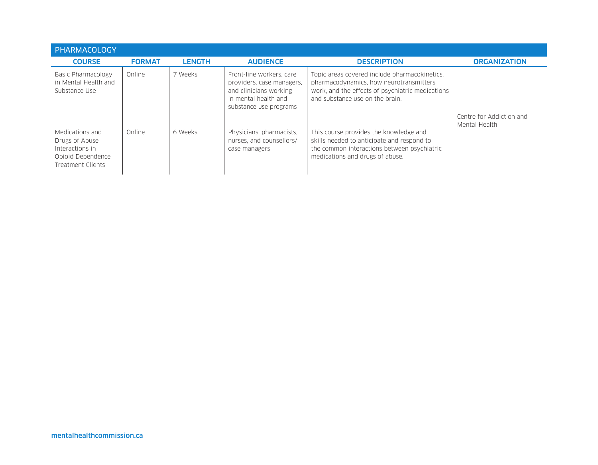| PHARMACOLOGY                                                                                   |               |               |                                                                                                                                   |                                                                                                                                                                                 |                          |
|------------------------------------------------------------------------------------------------|---------------|---------------|-----------------------------------------------------------------------------------------------------------------------------------|---------------------------------------------------------------------------------------------------------------------------------------------------------------------------------|--------------------------|
| <b>COURSE</b>                                                                                  | <b>FORMAT</b> | <b>LENGTH</b> | <b>AUDIENCE</b>                                                                                                                   | <b>DESCRIPTION</b>                                                                                                                                                              | <b>ORGANIZATION</b>      |
| Basic Pharmacology<br>in Mental Health and<br>Substance Use                                    | Online        | 7 Weeks       | Front-line workers, care<br>providers, case managers,<br>and clinicians working<br>in mental health and<br>substance use programs | Topic areas covered include pharmacokinetics.<br>pharmacodynamics, how neurotransmitters<br>work, and the effects of psychiatric medications<br>and substance use on the brain. | Centre for Addiction and |
| Medications and<br>Drugs of Abuse<br>Interactions in<br>Opioid Dependence<br>Treatment Clients | Online        | 6 Weeks       | Physicians, pharmacists,<br>nurses, and counsellors/<br>case managers                                                             | This course provides the knowledge and<br>skills needed to anticipate and respond to<br>the common interactions between psychiatric<br>medications and drugs of abuse.          | Mental Health            |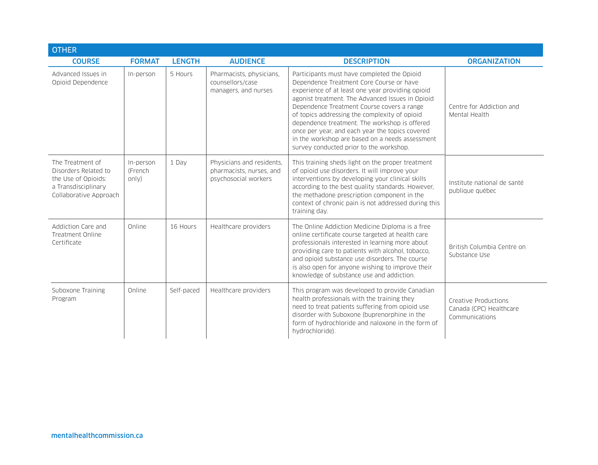| <b>OTHER</b>                                                                                                     |                               |               |                                                                               |                                                                                                                                                                                                                                                                                                                                                                                                                                                                                                  |                                                                   |  |
|------------------------------------------------------------------------------------------------------------------|-------------------------------|---------------|-------------------------------------------------------------------------------|--------------------------------------------------------------------------------------------------------------------------------------------------------------------------------------------------------------------------------------------------------------------------------------------------------------------------------------------------------------------------------------------------------------------------------------------------------------------------------------------------|-------------------------------------------------------------------|--|
| <b>COURSE</b>                                                                                                    | <b>FORMAT</b>                 | <b>LENGTH</b> | <b>AUDIENCE</b>                                                               | <b>DESCRIPTION</b>                                                                                                                                                                                                                                                                                                                                                                                                                                                                               | <b>ORGANIZATION</b>                                               |  |
| Advanced Issues in<br>Opioid Dependence                                                                          | In-person                     | 5 Hours       | Pharmacists, physicians,<br>counsellors/case<br>managers, and nurses          | Participants must have completed the Opioid<br>Dependence Treatment Core Course or have<br>experience of at least one year providing opioid<br>agonist treatment. The Advanced Issues in Opioid<br>Dependence Treatment Course covers a range<br>of topics addressing the complexity of opioid<br>dependence treatment. The workshop is offered<br>once per year, and each year the topics covered<br>in the workshop are based on a needs assessment<br>survey conducted prior to the workshop. | Centre for Addiction and<br>Mental Health                         |  |
| The Treatment of<br>Disorders Related to<br>the Use of Opioids:<br>a Transdisciplinary<br>Collaborative Approach | In-person<br>(French<br>only) | 1 Dav         | Physicians and residents,<br>pharmacists, nurses, and<br>psychosocial workers | This training sheds light on the proper treatment<br>of opioid use disorders. It will improve your<br>interventions by developing your clinical skills<br>according to the best quality standards. However,<br>the methadone prescription component in the<br>context of chronic pain is not addressed during this<br>training day.                                                                                                                                                              | Institute national de santé<br>publique québec                    |  |
| Addiction Care and<br>Treatment Online<br>Certificate                                                            | Online                        | 16 Hours      | Healthcare providers                                                          | The Online Addiction Medicine Diploma is a free<br>online certificate course targeted at health care<br>professionals interested in learning more about<br>providing care to patients with alcohol, tobacco,<br>and opioid substance use disorders. The course<br>is also open for anyone wishing to improve their<br>knowledge of substance use and addiction.                                                                                                                                  | British Columbia Centre on<br>Substance Use                       |  |
| Suboxone Training<br>Program                                                                                     | Online                        | Self-paced    | Healthcare providers                                                          | This program was developed to provide Canadian<br>health professionals with the training they<br>need to treat patients suffering from opioid use<br>disorder with Suboxone (buprenorphine in the<br>form of hydrochloride and naloxone in the form of<br>hydrochloride).                                                                                                                                                                                                                        | Creative Productions<br>Canada (CPC) Healthcare<br>Communications |  |